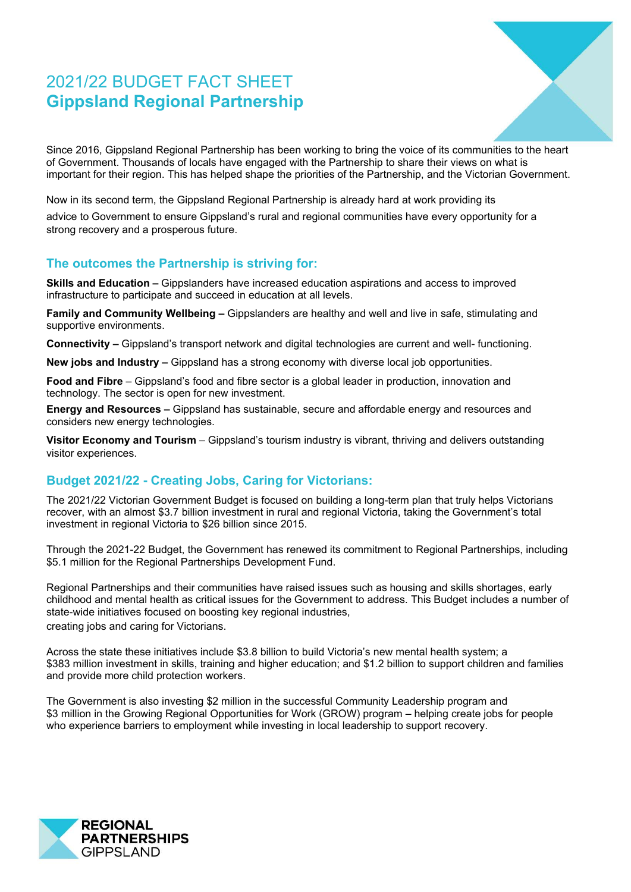# 2021/22 BUDGET FACT SHEET **Gippsland Regional Partnership**



Since 2016, Gippsland Regional Partnership has been working to bring the voice of its communities to the heart of Government. Thousands of locals have engaged with the Partnership to share their views on what is important for their region. This has helped shape the priorities of the Partnership, and the Victorian Government.

Now in its second term, the Gippsland Regional Partnership is already hard at work providing its

advice to Government to ensure Gippsland's rural and regional communities have every opportunity for a strong recovery and a prosperous future.

## **The outcomes the Partnership is striving for:**

**Skills and Education –** Gippslanders have increased education aspirations and access to improved infrastructure to participate and succeed in education at all levels.

**Family and Community Wellbeing –** Gippslanders are healthy and well and live in safe, stimulating and supportive environments.

**Connectivity –** Gippsland's transport network and digital technologies are current and well- functioning.

**New jobs and Industry –** Gippsland has a strong economy with diverse local job opportunities.

**Food and Fibre** – Gippsland's food and fibre sector is a global leader in production, innovation and technology. The sector is open for new investment.

**Energy and Resources –** Gippsland has sustainable, secure and affordable energy and resources and considers new energy technologies.

**Visitor Economy and Tourism** – Gippsland's tourism industry is vibrant, thriving and delivers outstanding visitor experiences.

### **Budget 2021/22 - Creating Jobs, Caring for Victorians:**

The 2021/22 Victorian Government Budget is focused on building a long-term plan that truly helps Victorians recover, with an almost \$3.7 billion investment in rural and regional Victoria, taking the Government's total investment in regional Victoria to \$26 billion since 2015.

Through the 2021-22 Budget, the Government has renewed its commitment to Regional Partnerships, including \$5.1 million for the Regional Partnerships Development Fund.

Regional Partnerships and their communities have raised issues such as housing and skills shortages, early childhood and mental health as critical issues for the Government to address. This Budget includes a number of state-wide initiatives focused on boosting key regional industries, creating jobs and caring for Victorians.

Across the state these initiatives include \$3.8 billion to build Victoria's new mental health system; a \$383 million investment in skills, training and higher education; and \$1.2 billion to support children and families and provide more child protection workers.

The Government is also investing \$2 million in the successful Community Leadership program and \$3 million in the Growing Regional Opportunities for Work (GROW) program – helping create jobs for people who experience barriers to employment while investing in local leadership to support recovery.

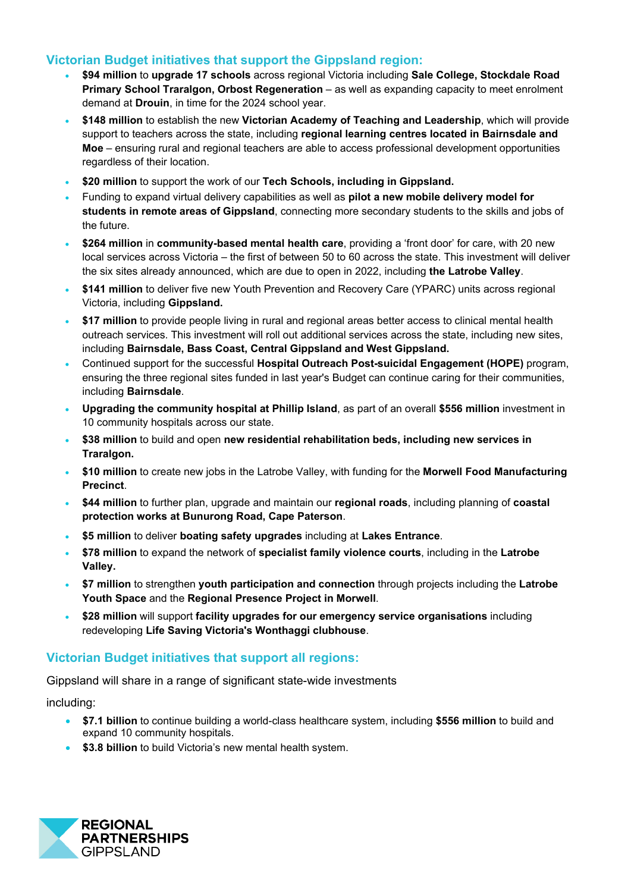### **Victorian Budget initiatives that support the Gippsland region:**

- **\$94 million** to **upgrade 17 schools** across regional Victoria including **Sale College, Stockdale Road Primary School Traralgon, Orbost Regeneration** – as well as expanding capacity to meet enrolment demand at **Drouin**, in time for the 2024 school year.
- **\$148 million** to establish the new **Victorian Academy of Teaching and Leadership**, which will provide support to teachers across the state, including **regional learning centres located in Bairnsdale and Moe** – ensuring rural and regional teachers are able to access professional development opportunities regardless of their location.
- **\$20 million** to support the work of our **Tech Schools, including in Gippsland.**
- Funding to expand virtual delivery capabilities as well as **pilot a new mobile delivery model for students in remote areas of Gippsland**, connecting more secondary students to the skills and jobs of the future.
- **\$264 million** in **community-based mental health care**, providing a 'front door' for care, with 20 new local services across Victoria – the first of between 50 to 60 across the state. This investment will deliver the six sites already announced, which are due to open in 2022, including **the Latrobe Valley**.
- **\$141 million** to deliver five new Youth Prevention and Recovery Care (YPARC) units across regional Victoria, including **Gippsland.**
- **\$17 million** to provide people living in rural and regional areas better access to clinical mental health outreach services. This investment will roll out additional services across the state, including new sites, including **Bairnsdale, Bass Coast, Central Gippsland and West Gippsland.**
- Continued support for the successful **Hospital Outreach Post-suicidal Engagement (HOPE)** program, ensuring the three regional sites funded in last year's Budget can continue caring for their communities, including **Bairnsdale**.
- **Upgrading the community hospital at Phillip Island**, as part of an overall **\$556 million** investment in 10 community hospitals across our state.
- **\$38 million** to build and open **new residential rehabilitation beds, including new services in Traralgon.**
- **\$10 million** to create new jobs in the Latrobe Valley, with funding for the **Morwell Food Manufacturing Precinct**.
- **\$44 million** to further plan, upgrade and maintain our **regional roads**, including planning of **coastal protection works at Bunurong Road, Cape Paterson**.
- **\$5 million** to deliver **boating safety upgrades** including at **Lakes Entrance**.
- **\$78 million** to expand the network of **specialist family violence courts**, including in the **Latrobe Valley.**
- **\$7 million** to strengthen **youth participation and connection** through projects including the **Latrobe Youth Space** and the **Regional Presence Project in Morwell**.
- **\$28 million** will support **facility upgrades for our emergency service organisations** including redeveloping **Life Saving Victoria's Wonthaggi clubhouse**.

### **Victorian Budget initiatives that support all regions:**

Gippsland will share in a range of significant state-wide investments

including:

- **\$7.1 billion** to continue building a world-class healthcare system, including **\$556 million** to build and expand 10 community hospitals.
- **\$3.8 billion** to build Victoria's new mental health system.